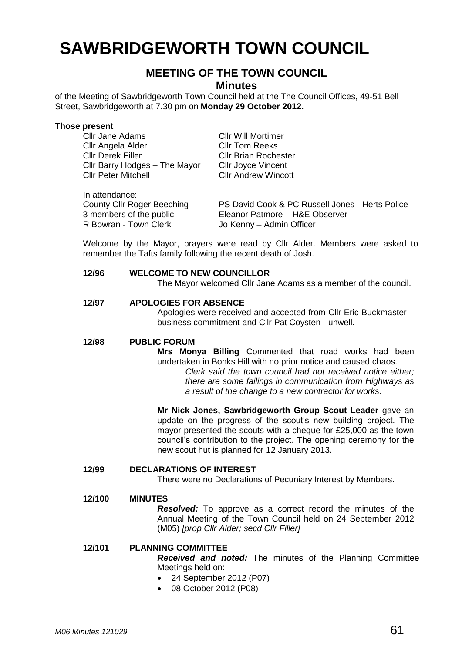# **SAWBRIDGEWORTH TOWN COUNCIL**

## **MEETING OF THE TOWN COUNCIL**

**Minutes**

of the Meeting of Sawbridgeworth Town Council held at the The Council Offices, 49-51 Bell Street, Sawbridgeworth at 7.30 pm on **Monday 29 October 2012.**

# **Those present**

| <b>Cllr Jane Adams</b>            | <b>Cllr Will Mortimer</b>                       |
|-----------------------------------|-------------------------------------------------|
| Cllr Angela Alder                 | <b>CIIr Tom Reeks</b>                           |
| <b>Cllr Derek Filler</b>          | <b>Cllr Brian Rochester</b>                     |
| Cllr Barry Hodges - The Mayor     | <b>Cllr Joyce Vincent</b>                       |
| <b>Cllr Peter Mitchell</b>        | <b>Cllr Andrew Wincott</b>                      |
|                                   |                                                 |
| In attendance:                    |                                                 |
| <b>County Cllr Roger Beeching</b> | PS David Cook & PC Russell Jones - Herts Police |
| 3 members of the public           | Eleanor Patmore - H&E Observer                  |
| R Bowran - Town Clerk             | Jo Kenny - Admin Officer                        |

Welcome by the Mayor, prayers were read by Cllr Alder. Members were asked to remember the Tafts family following the recent death of Josh.

#### **12/96 WELCOME TO NEW COUNCILLOR**

The Mayor welcomed Cllr Jane Adams as a member of the council.

#### **12/97 APOLOGIES FOR ABSENCE**

Apologies were received and accepted from Cllr Eric Buckmaster – business commitment and Cllr Pat Coysten - unwell.

#### **12/98 PUBLIC FORUM**

**Mrs Monya Billing** Commented that road works had been undertaken in Bonks Hill with no prior notice and caused chaos.

*Clerk said the town council had not received notice either; there are some failings in communication from Highways as a result of the change to a new contractor for works.*

**Mr Nick Jones, Sawbridgeworth Group Scout Leader** gave an update on the progress of the scout's new building project. The mayor presented the scouts with a cheque for £25,000 as the town council's contribution to the project. The opening ceremony for the new scout hut is planned for 12 January 2013.

#### **12/99 DECLARATIONS OF INTEREST**

There were no Declarations of Pecuniary Interest by Members.

#### **12/100 MINUTES**

*Resolved:* To approve as a correct record the minutes of the Annual Meeting of the Town Council held on 24 September 2012 (M05) *[prop Cllr Alder; secd Cllr Filler]*

#### **12/101 PLANNING COMMITTEE**

*Received and noted:* The minutes of the Planning Committee Meetings held on:

- 24 September 2012 (P07)
- 08 October 2012 (P08)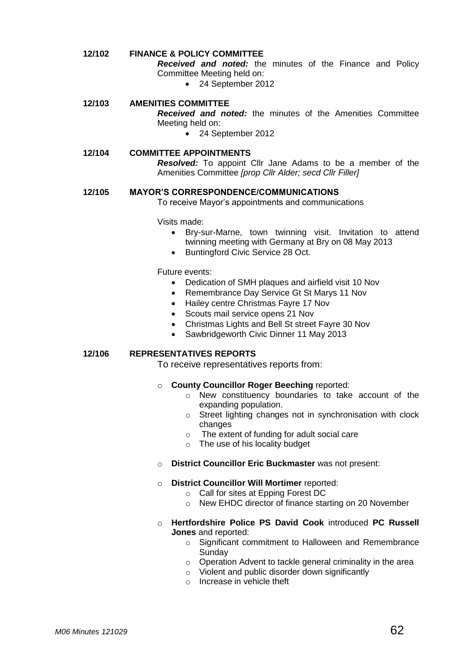#### **12/102 FINANCE & POLICY COMMITTEE**

*Received and noted:* the minutes of the Finance and Policy Committee Meeting held on:

• 24 September 2012

#### **12/103 AMENITIES COMMITTEE**

*Received and noted:* the minutes of the Amenities Committee Meeting held on:

• 24 September 2012

#### **12/104 COMMITTEE APPOINTMENTS** *Resolved:* To appoint Cllr Jane Adams to be a member of the Amenities Committee *[prop Cllr Alder; secd Cllr Filler]*

#### **12/105 MAYOR'S CORRESPONDENCE/COMMUNICATIONS**

To receive Mayor's appointments and communications

Visits made:

- Bry-sur-Marne, town twinning visit. Invitation to attend twinning meeting with Germany at Bry on 08 May 2013
- Buntingford Civic Service 28 Oct.

Future events:

- Dedication of SMH plaques and airfield visit 10 Nov
- Remembrance Day Service Gt St Marys 11 Nov
- Hailey centre Christmas Fayre 17 Nov
- Scouts mail service opens 21 Nov
- Christmas Lights and Bell St street Fayre 30 Nov
- Sawbridgeworth Civic Dinner 11 May 2013

#### **12/106 REPRESENTATIVES REPORTS**

To receive representatives reports from:

#### o **County Councillor Roger Beeching** reported:

- o New constituency boundaries to take account of the expanding population.
- o Street lighting changes not in synchronisation with clock changes
- o The extent of funding for adult social care
- o The use of his locality budget
- o **District Councillor Eric Buckmaster** was not present:

#### o **District Councillor Will Mortimer** reported:

- o Call for sites at Epping Forest DC
- o New EHDC director of finance starting on 20 November
- o **Hertfordshire Police PS David Cook** introduced **PC Russell Jones** and reported:
	- o Significant commitment to Halloween and Remembrance Sunday
	- o Operation Advent to tackle general criminality in the area
	- o Violent and public disorder down significantly
	- o Increase in vehicle theft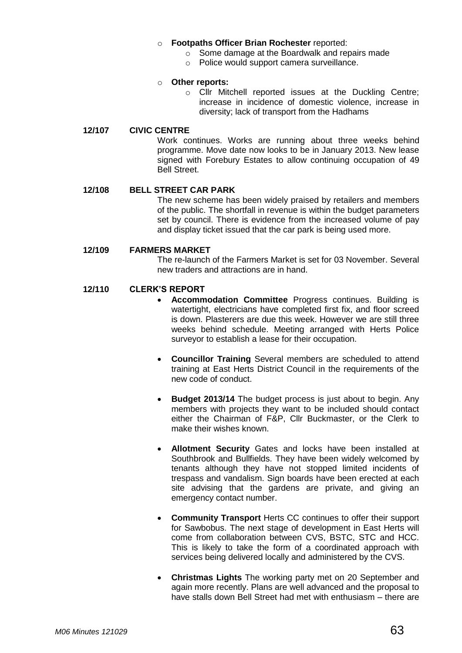#### o **Footpaths Officer Brian Rochester** reported:

- o Some damage at the Boardwalk and repairs made
- o Police would support camera surveillance.

#### o **Other reports:**

o Cllr Mitchell reported issues at the Duckling Centre; increase in incidence of domestic violence, increase in diversity; lack of transport from the Hadhams

#### **12/107 CIVIC CENTRE**

Work continues. Works are running about three weeks behind programme. Move date now looks to be in January 2013. New lease signed with Forebury Estates to allow continuing occupation of 49 Bell Street.

#### **12/108 BELL STREET CAR PARK**

The new scheme has been widely praised by retailers and members of the public. The shortfall in revenue is within the budget parameters set by council. There is evidence from the increased volume of pay and display ticket issued that the car park is being used more.

#### **12/109 FARMERS MARKET**

The re-launch of the Farmers Market is set for 03 November. Several new traders and attractions are in hand.

#### **12/110 CLERK'S REPORT**

- **Accommodation Committee** Progress continues. Building is watertight, electricians have completed first fix, and floor screed is down. Plasterers are due this week. However we are still three weeks behind schedule. Meeting arranged with Herts Police surveyor to establish a lease for their occupation.
- **Councillor Training** Several members are scheduled to attend training at East Herts District Council in the requirements of the new code of conduct.
- **Budget 2013/14** The budget process is just about to begin. Any members with projects they want to be included should contact either the Chairman of F&P, Cllr Buckmaster, or the Clerk to make their wishes known.
- **Allotment Security** Gates and locks have been installed at Southbrook and Bullfields. They have been widely welcomed by tenants although they have not stopped limited incidents of trespass and vandalism. Sign boards have been erected at each site advising that the gardens are private, and giving an emergency contact number.
- **Community Transport** Herts CC continues to offer their support for Sawbobus. The next stage of development in East Herts will come from collaboration between CVS, BSTC, STC and HCC. This is likely to take the form of a coordinated approach with services being delivered locally and administered by the CVS.
- **Christmas Lights** The working party met on 20 September and again more recently. Plans are well advanced and the proposal to have stalls down Bell Street had met with enthusiasm – there are